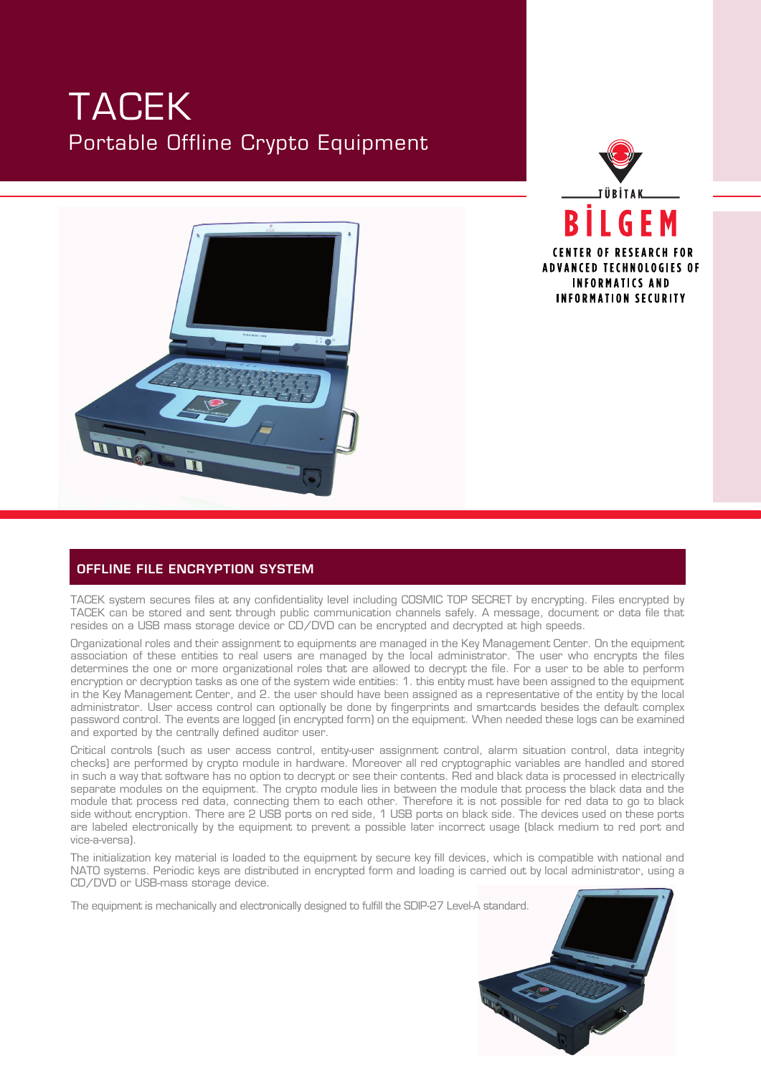## TACEK Portable Offline Crypto Equipment





## OFFLINE FILE ENCRYPTION SYSTEM

TACEK system secures files at any confidentiality level including COSMIC TOP SECRET by encrypting. Files encrypted by TACEK can be stored and sent through public communication channels safely. A message, document or data file that resides on a USB mass storage device or CD/DVD can be encrypted and decrypted at high speeds.

Organizational roles and their assignment to equipments are managed in the Key Management Center. On the equipment association of these entities to real users are managed by the local administrator. The user who encrypts the files determines the one or more organizational roles that are allowed to decrypt the file. For a user to be able to perform encryption or decryption tasks as one of the system wide entities: 1. this entity must have been assigned to the equipment in the Key Management Center, and 2. the user should have been assigned as a representative of the entity by the local administrator. User access control can optionally be done by fingerprints and smartcards besides the default complex password control. The events are logged (in encrypted form) on the equipment. When needed these logs can be examined and exported by the centrally defined auditor user.

Critical controls (such as user access control, entity−user assignment control, alarm situation control, data integrity checks) are performed by crypto module in hardware. Moreover all red cryptographic variables are handled and stored in such a way that software has no option to decrypt or see their contents. Red and black data is processed in electrically separate modules on the equipment. The crypto module lies in between the module that process the black data and the module that process red data, connecting them to each other. Therefore it is not possible for red data to go to black side without encryption. There are 2 USB ports on red side, 1 USB ports on black side. The devices used on these ports are labeled electronically by the equipment to prevent a possible later incorrect usage (black medium to red port and vice−a−versa).

The initialization key material is loaded to the equipment by secure key fill devices, which is compatible with national and NATO systems. Periodic keys are distributed in encrypted form and loading is carried out by local administrator, using a CD/DVD or USB−mass storage device.

The equipment is mechanically and electronically designed to fulfill the SDIP−27 Level−A standard.